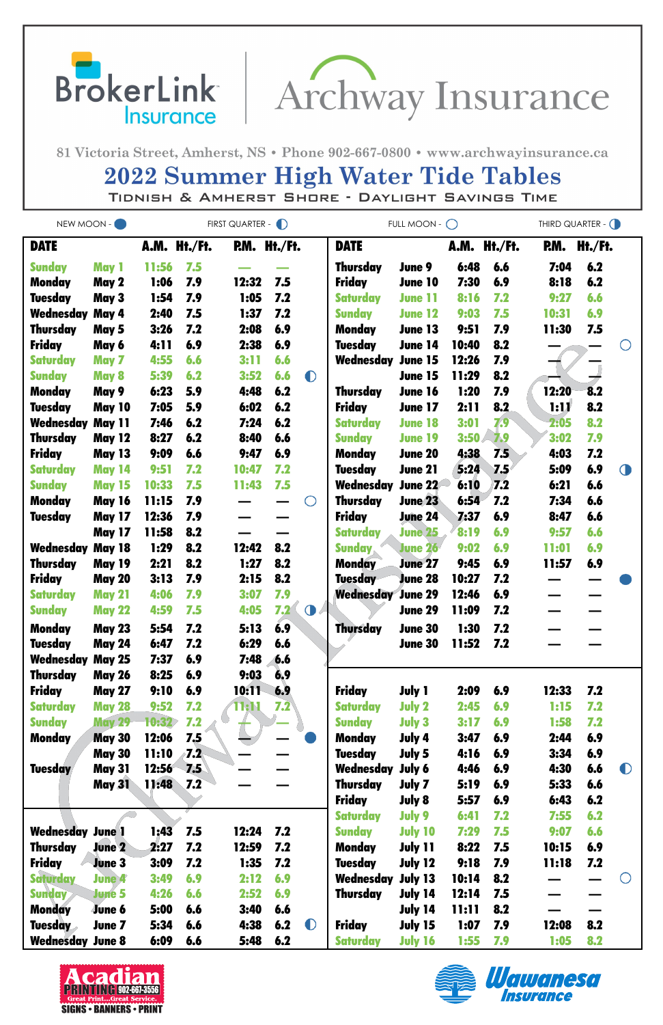BrokerLink | Archway Insurance

81 Victoria Street, Amherst, NS · Phone 902-667-0800 · www.archwayinsurance.ca

## **2022 Summer High Water Tide Tables**

TIDNISH & AMHERST SHORE - DAYLIGHT SAVINGS TIME

| NEW MOON -              |               | FIRST QUARTER - D |     |              |                 |            | FULL MOON - $\bigcirc$   | THIRD QUARTER - ( |       |              |       |         |                                               |
|-------------------------|---------------|-------------------|-----|--------------|-----------------|------------|--------------------------|-------------------|-------|--------------|-------|---------|-----------------------------------------------|
| <b>DATE</b>             |               | A.M. Ht./Ft.      |     | P.M. Ht./Ft. |                 |            | <b>DATE</b>              |                   |       | A.M. Ht./Ft. | RM.   | Ht./Ft. |                                               |
| <b>Sunday</b>           | May 1         | 11:56             | 7.5 |              |                 |            | <b>Thursday</b>          | June 9            | 6:48  | 6.6          | 7:04  | 6.2     |                                               |
| <b>Monday</b>           | May 2         | 1:06              | 7.9 | 12:32        | 7.5             |            | <b>Friday</b>            | <b>June 10</b>    | 7:30  | 6.9          | 8:18  | 6.2     |                                               |
| <b>Tuesday</b>          | May 3         | 1:54              | 7.9 | 1:05         | 7.2             |            | <b>Saturday</b>          | <b>June 11</b>    | 8:16  | 7.2          | 9:27  | 6.6     |                                               |
| Wednesday               | May 4         | 2:40              | 7.5 | 1:37         | 7.2             |            | <b>Sunday</b>            | <b>June 12</b>    | 9:03  | 7.5          | 10:31 | 6.9     |                                               |
| <b>Thursday</b>         | May 5         | 3:26              | 7.2 | 2:08         | 6.9             |            | <b>Monday</b>            | <b>June 13</b>    | 9:51  | 7.9          | 11:30 | 7.5     |                                               |
| <b>Friday</b>           | May 6         | 4:11              | 6.9 | 2:38         | 6.9             |            | <b>Tuesday</b>           | June 14           | 10:40 | 8.2          |       |         |                                               |
| <b>Saturday</b>         | May 7         | 4:55              | 6.6 | 3:11         | 6.6             |            | Wednesday                | <b>June 15</b>    | 12:26 | 7.9          |       |         |                                               |
| <b>Sunday</b>           | <b>May 8</b>  | 5:39              | 6.2 | 3:52         | 6.6             | $\bullet$  |                          | June 15           | 11:29 | 8.2          |       |         |                                               |
| Monday                  | May 9         | 6:23              | 5.9 | 4:48         | 6.2             |            | <b>Thursday</b>          | June 16           | 1:20  | 7.9          | 12:20 | 8.2     |                                               |
| <b>Tuesday</b>          | <b>May 10</b> | 7:05              | 5.9 | 6:02         | 6.2             |            | <b>Friday</b>            | <b>June 17</b>    | 2:11  | 8.2          | 1:17  | 8.2     |                                               |
| Wednesday               | <b>May 11</b> | 7:46              | 6.2 | 7:24         | 6.2             |            | <b>Saturday</b>          | <b>June 18</b>    | 3:01  | 7.9          | 2:05  | 8.2     |                                               |
| <b>Thursday</b>         | <b>May 12</b> | 8:27              | 6.2 | 8:40         | 6.6             |            | <b>Sunday</b>            | <b>June 19</b>    | 3:50  | 7.9          | 3:02  | 7.9     |                                               |
| <b>Friday</b>           | <b>May 13</b> | 9:09              | 6.6 | 9:47         | 6.9             |            | <b>Monday</b>            | <b>June 20</b>    | 4:38  | 7.5          | 4:03  | 7.2     |                                               |
| <b>Saturday</b>         | <b>May 14</b> | 9:51              | 7.2 | 10:47        | 7.2             |            | <b>Tuesday</b>           | <b>June 21</b>    | 5:24  | 7.5          | 5:09  | 6.9     | $\bigcirc$                                    |
| <b>Sunday</b>           | <b>May 15</b> | 10:33             | 7.5 | 11:43        | 7.5             |            | Wednesday                | <b>June 22</b>    | 6:10  | 7.2          | 6:21  | 6.6     |                                               |
| <b>Monday</b>           | <b>May 16</b> | 11:15             | 7.9 |              |                 | $\bigcirc$ | <b>Thursday</b>          | <b>June 23</b>    | 6:54  | 7.2          | 7:34  | 6.6     |                                               |
| <b>Tuesday</b>          | <b>May 17</b> | 12:36             | 7.9 |              |                 |            | <b>Friday</b>            | <b>June 24</b>    | 7:37  | 6.9          | 8:47  | 6.6     |                                               |
|                         | <b>May 17</b> | 11:58             | 8.2 |              |                 |            | <b>Saturday</b>          | <b>June 25</b>    | 8:19  | 6.9          | 9:57  | 6.6     |                                               |
| Wednesday               | <b>May 18</b> | 1:29              | 8.2 | 12:42        | 8.2             |            | <b>Sunday</b>            | <b>June 26</b>    | 9:02  | 6.9          | 11:01 | 6.9     |                                               |
| <b>Thursday</b>         | <b>May 19</b> | 2:21              | 8.2 | 1:27         | 8.2             |            | <b>Monday</b>            | <b>June 27</b>    | 9:45  | 6.9          | 11:57 | 6.9     |                                               |
| <b>Friday</b>           | <b>May 20</b> | 3:13              | 7.9 | 2:15         | 8.2             |            | <b>Tuesday</b>           | <b>June 28</b>    | 10:27 | 7.2          |       |         |                                               |
| <b>Saturday</b>         | <b>May 21</b> | 4:06              | 7.9 | 3:07         | 7.9             |            | <b>Wednesday June 29</b> |                   | 12:46 | 6.9          |       |         |                                               |
| <b>Sunday</b>           | <b>May 22</b> | 4:59              | 7.5 | 4:05         | $7.2$ $\bullet$ |            |                          | <b>June 29</b>    | 11:09 | 7.2          |       |         |                                               |
| <b>Monday</b>           | <b>May 23</b> | 5:54              | 7.2 | 5:13         | 6.9             |            | Thursday                 | <b>June 30</b>    | 1:30  | 7.2          |       |         |                                               |
| <b>Tuesday</b>          | <b>May 24</b> | 6:47              | 7.2 | 6:29         | 6.6             |            |                          | <b>June 30</b>    | 11:52 | 7.2          |       |         |                                               |
| Wednesday               | <b>May 25</b> | 7:37              | 6.9 | 7:48         | 6.6             |            |                          |                   |       |              |       |         |                                               |
| <b>Thursday</b>         | <b>May 26</b> | 8:25              | 6.9 | 9:03         | 6,9             |            |                          |                   |       |              |       |         |                                               |
| <b>Friday</b>           | <b>May 27</b> | 9:10              | 6.9 | 10:11        | 6.9             |            | <b>Friday</b>            | <b>July 1</b>     | 2:09  | 6.9          | 12:33 | 7.2     |                                               |
| <b>Saturday</b>         | <b>May 28</b> | 9:52              | 7.2 | 1:11         | 7.2             |            | <b>Saturday</b>          | <b>July 2</b>     | 2:45  | 6.9          | 1:15  | 7.2     |                                               |
| <b>Sunday</b>           | <b>May 29</b> | 10:32             | 7.2 |              |                 |            | <b>Sunday</b>            | <b>July 3</b>     | 3:17  | 6.9          | 1:58  | 7.2     |                                               |
| Monday                  | <b>May 30</b> | 12:06             | 7.5 |              |                 |            | <b>Monday</b>            | July 4            | 3:47  | 6.9          | 2:44  | 6.9     |                                               |
|                         | <b>May 30</b> | <b>11:10</b>      | 7.2 |              |                 |            | <b>Tuesday</b>           | July 5            | 4:16  | 6.9          | 3:34  | 6.9     |                                               |
| <b>Tuesday</b>          | <b>May 31</b> | 12:56             | 7.5 |              |                 |            | <b>Wednesday July 6</b>  |                   | 4:46  | 6.9          | 4:30  | 6.6     | $\bullet$                                     |
|                         | <b>May 31</b> | 11:48             | 7.2 |              |                 |            | <b>Thursday</b>          | July 7            | 5:19  | 6.9          | 5:33  | 6.6     |                                               |
|                         |               |                   |     |              |                 |            | <b>Friday</b>            | July 8            | 5:57  | 6.9          | 6:43  | 6.2     |                                               |
|                         |               |                   |     |              |                 |            | <b>Saturday</b>          | July 9            | 6:41  | 7.2          | 7:55  | 6.2     |                                               |
| <b>Wednesday June 1</b> |               | 1:43              | 7.5 | 12:24        | 7.2             |            | <b>Sunday</b>            | <b>July 10</b>    | 7:29  | 7.5          | 9:07  | 6.6     |                                               |
| Thursday                | <b>June 2</b> | 2:27              | 7.2 | 12:59        | 7.2             |            | <b>Monday</b>            | July 11           | 8:22  | 7.5          | 10:15 | 6.9     |                                               |
| <b>Friday</b>           | <b>June 3</b> | 3:09              | 7.2 | 1:35         | 7.2             |            | <b>Tuesday</b>           | <b>July 12</b>    | 9:18  | 7.9          | 11:18 | 7.2     |                                               |
| <b>Saturday</b>         | <b>June 4</b> | 3:49              | 6.9 | 2:12         | 6.9             |            | Wednesday                | July 13           | 10:14 | 8.2          |       |         | $\left( \begin{array}{c} \end{array} \right)$ |
| <b>Sunday</b>           | <b>June 5</b> | 4:26              | 6.6 | 2:52         | 6.9             |            | <b>Thursday</b>          | July 14           | 12:14 | 7.5          |       |         |                                               |
| <b>Monday</b>           | June 6        | 5:00              | 6.6 | 3:40         | 6.6             |            |                          | July 14           | 11:11 | 8.2          |       |         |                                               |
| <b>Tuesday</b>          | June 7        | 5:34              | 6.6 | 4:38         | 6.2             | $\bullet$  | <b>Friday</b>            | July 15           | 1:07  | 7.9          | 12:08 | 8.2     |                                               |
| <b>Wednesday June 8</b> |               | 6:09              | 6.6 | 5:48         | 6.2             |            | <b>Saturday</b>          | <b>July 16</b>    | 1:55  | 7.9          | 1:05  | 8.2     |                                               |